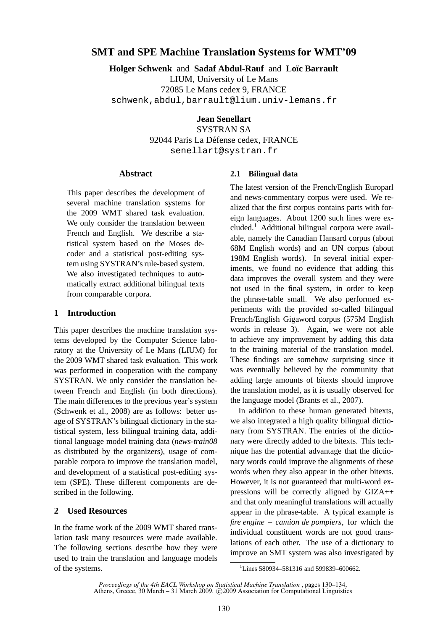# **SMT and SPE Machine Translation Systems for WMT'09**

**Holger Schwenk and Sadaf Abdul-Rauf and Loïc Barrault** LIUM, University of Le Mans 72085 Le Mans cedex 9, FRANCE schwenk,abdul,barrault@lium.univ-lemans.fr

**Jean Senellart**

SYSTRAN SA 92044 Paris La Défense cedex, FRANCE senellart@systran.fr

### **Abstract**

This paper describes the development of several machine translation systems for the 2009 WMT shared task evaluation. We only consider the translation between French and English. We describe a statistical system based on the Moses decoder and a statistical post-editing system using SYSTRAN's rule-based system. We also investigated techniques to automatically extract additional bilingual texts from comparable corpora.

### **1 Introduction**

This paper describes the machine translation systems developed by the Computer Science laboratory at the University of Le Mans (LIUM) for the 2009 WMT shared task evaluation. This work was performed in cooperation with the company SYSTRAN. We only consider the translation between French and English (in both directions). The main differences to the previous year's system (Schwenk et al., 2008) are as follows: better usage of SYSTRAN's bilingual dictionary in the statistical system, less bilingual training data, additional language model training data (*news-train08* as distributed by the organizers), usage of comparable corpora to improve the translation model, and development of a statistical post-editing system (SPE). These different components are described in the following.

### **2 Used Resources**

In the frame work of the 2009 WMT shared translation task many resources were made available. The following sections describe how they were used to train the translation and language models of the systems.

#### **2.1 Bilingual data**

The latest version of the French/English Europarl and news-commentary corpus were used. We realized that the first corpus contains parts with foreign languages. About 1200 such lines were excluded.<sup>1</sup> Additional bilingual corpora were available, namely the Canadian Hansard corpus (about 68M English words) and an UN corpus (about 198M English words). In several initial experiments, we found no evidence that adding this data improves the overall system and they were not used in the final system, in order to keep the phrase-table small. We also performed experiments with the provided so-called bilingual French/English Gigaword corpus (575M English words in release 3). Again, we were not able to achieve any improvement by adding this data to the training material of the translation model. These findings are somehow surprising since it was eventually believed by the community that adding large amounts of bitexts should improve the translation model, as it is usually observed for the language model (Brants et al., 2007).

In addition to these human generated bitexts, we also integrated a high quality bilingual dictionary from SYSTRAN. The entries of the dictionary were directly added to the bitexts. This technique has the potential advantage that the dictionary words could improve the alignments of these words when they also appear in the other bitexts. However, it is not guaranteed that multi-word expressions will be correctly aligned by GIZA++ and that only meaningful translations will actually appear in the phrase-table. A typical example is *fire engine – camion de pompiers*, for which the individual constituent words are not good translations of each other. The use of a dictionary to improve an SMT system was also investigated by

<sup>&</sup>lt;sup>1</sup>Lines 580934-581316 and 599839-600662.

*Proceedings of the 4th EACL Workshop on Statistical Machine Translation* , pages 130–134, Athens, Greece, 30 March - 31 March 2009. C 2009 Association for Computational Linguistics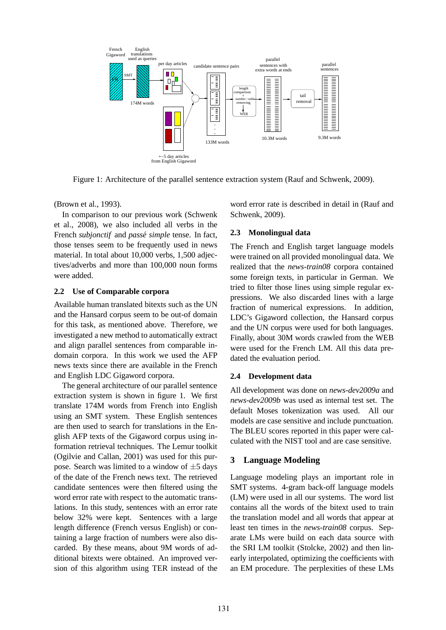

Figure 1: Architecture of the parallel sentence extraction system (Rauf and Schwenk, 2009).

(Brown et al., 1993).

In comparison to our previous work (Schwenk et al., 2008), we also included all verbs in the French *subionctif* and *passé simple* tense. In fact, those tenses seem to be frequently used in news material. In total about 10,000 verbs, 1,500 adjectives/adverbs and more than 100,000 noun forms were added.

### **2.2 Use of Comparable corpora**

Available human translated bitexts such as the UN and the Hansard corpus seem to be out-of domain for this task, as mentioned above. Therefore, we investigated a new method to automatically extract and align parallel sentences from comparable indomain corpora. In this work we used the AFP news texts since there are available in the French and English LDC Gigaword corpora.

The general architecture of our parallel sentence extraction system is shown in figure 1. We first translate 174M words from French into English using an SMT system. These English sentences are then used to search for translations in the English AFP texts of the Gigaword corpus using information retrieval techniques. The Lemur toolkit (Ogilvie and Callan, 2001) was used for this purpose. Search was limited to a window of  $\pm$ 5 days of the date of the French news text. The retrieved candidate sentences were then filtered using the word error rate with respect to the automatic translations. In this study, sentences with an error rate below 32% were kept. Sentences with a large length difference (French versus English) or containing a large fraction of numbers were also discarded. By these means, about 9M words of additional bitexts were obtained. An improved version of this algorithm using TER instead of the word error rate is described in detail in (Rauf and Schwenk, 2009).

## **2.3 Monolingual data**

The French and English target language models were trained on all provided monolingual data. We realized that the *news-train08* corpora contained some foreign texts, in particular in German. We tried to filter those lines using simple regular expressions. We also discarded lines with a large fraction of numerical expressions. In addition, LDC's Gigaword collection, the Hansard corpus and the UN corpus were used for both languages. Finally, about 30M words crawled from the WEB were used for the French LM. All this data predated the evaluation period.

## **2.4 Development data**

All development was done on *news-dev2009a* and *news-dev2009b* was used as internal test set. The default Moses tokenization was used. All our models are case sensitive and include punctuation. The BLEU scores reported in this paper were calculated with the NIST tool and are case sensitive.

# **3 Language Modeling**

Language modeling plays an important role in SMT systems. 4-gram back-off language models (LM) were used in all our systems. The word list contains all the words of the bitext used to train the translation model and all words that appear at least ten times in the *news-train08* corpus. Separate LMs were build on each data source with the SRI LM toolkit (Stolcke, 2002) and then linearly interpolated, optimizing the coefficients with an EM procedure. The perplexities of these LMs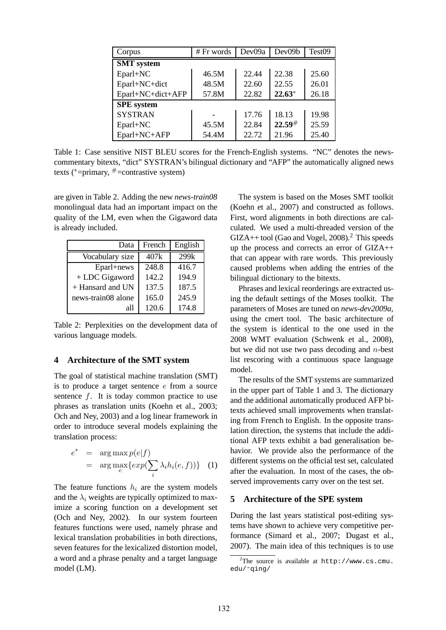| Corpus            | # Fr words | Dev09a | Dev09b   | Test09 |  |  |  |
|-------------------|------------|--------|----------|--------|--|--|--|
| <b>SMT</b> system |            |        |          |        |  |  |  |
| Eparl+NC          | 46.5M      | 22.44  | 22.38    | 25.60  |  |  |  |
| Eparl+NC+dict     | 48.5M      | 22.60  | 22.55    | 26.01  |  |  |  |
| Eparl+NC+dict+AFP | 57.8M      | 22.82  | $22.63*$ | 26.18  |  |  |  |
| <b>SPE</b> system |            |        |          |        |  |  |  |
| <b>SYSTRAN</b>    |            | 17.76  | 18.13    | 19.98  |  |  |  |
| Eparl+NC          | 45.5M      | 22.84  | 22.59#   | 25.59  |  |  |  |
| Eparl+NC+AFP      | 54.4M      | 22.72  | 21.96    | 25.40  |  |  |  |

Table 1: Case sensitive NIST BLEU scores for the French-English systems. "NC" denotes the newscommentary bitexts, "dict" SYSTRAN's bilingual dictionary and "AFP" the automatically aligned news texts ( $*$ =primary,  $*$ =contrastive system)

are given in Table 2. Adding the new *news-train08* monolingual data had an important impact on the quality of the LM, even when the Gigaword data is already included.

| Data               | French | English |
|--------------------|--------|---------|
| Vocabulary size    | 407k   | 299k    |
| Eparl+news         | 248.8  | 416.7   |
| + LDC Gigaword     | 142.2  | 194.9   |
| + Hansard and UN   | 137.5  | 187.5   |
| news-train08 alone | 165.0  | 245.9   |
| all                | 120.6  | 174.8   |

Table 2: Perplexities on the development data of various language models.

### **4 Architecture of the SMT system**

The goal of statistical machine translation (SMT) is to produce a target sentence e from a source sentence  $f$ . It is today common practice to use phrases as translation units (Koehn et al., 2003; Och and Ney, 2003) and a log linear framework in order to introduce several models explaining the translation process:

$$
e^* = \arg \max_{e} p(e|f)
$$
  
= 
$$
\arg \max_{e} \{ exp(\sum_{i} \lambda_i h_i(e, f)) \} (1)
$$

The feature functions  $h_i$  are the system models and the  $\lambda_i$  weights are typically optimized to maximize a scoring function on a development set (Och and Ney, 2002). In our system fourteen features functions were used, namely phrase and lexical translation probabilities in both directions, seven features for the lexicalized distortion model, a word and a phrase penalty and a target language model (LM).

The system is based on the Moses SMT toolkit (Koehn et al., 2007) and constructed as follows. First, word alignments in both directions are calculated. We used a multi-threaded version of the  $GIZA++$  tool (Gao and Vogel, 2008).<sup>2</sup> This speeds up the process and corrects an error of GIZA++ that can appear with rare words. This previously caused problems when adding the entries of the bilingual dictionary to the bitexts.

Phrases and lexical reorderings are extracted using the default settings of the Moses toolkit. The parameters of Moses are tuned on *news-dev2009a*, using the cmert tool. The basic architecture of the system is identical to the one used in the 2008 WMT evaluation (Schwenk et al., 2008), but we did not use two pass decoding and  $n$ -best list rescoring with a continuous space language model.

The results of the SMT systems are summarized in the upper part of Table 1 and 3. The dictionary and the additional automatically produced AFP bitexts achieved small improvements when translating from French to English. In the opposite translation direction, the systems that include the additional AFP texts exhibit a bad generalisation behavior. We provide also the performance of the different systems on the official test set, calculated after the evaluation. In most of the cases, the observed improvements carry over on the test set.

### **5 Architecture of the SPE system**

During the last years statistical post-editing systems have shown to achieve very competitive performance (Simard et al., 2007; Dugast et al., 2007). The main idea of this techniques is to use

<sup>&</sup>lt;sup>2</sup>The source is available at  $http://www.cs.cmu.$ edu/˜qing/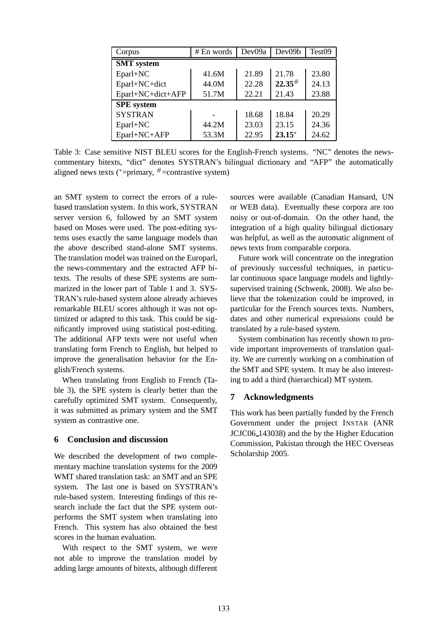| Corpus            | $# En$ words | Dev09a | Dev09b   | Test09 |  |  |  |
|-------------------|--------------|--------|----------|--------|--|--|--|
| <b>SMT</b> system |              |        |          |        |  |  |  |
| Eparl+NC          | 41.6M        | 21.89  | 21.78    | 23.80  |  |  |  |
| Eparl+NC+dict     | 44.0M        | 22.28  | 22.35#   | 24.13  |  |  |  |
| Eparl+NC+dict+AFP | 51.7M        | 22.21  | 21.43    | 23.88  |  |  |  |
| <b>SPE</b> system |              |        |          |        |  |  |  |
| <b>SYSTRAN</b>    |              | 18.68  | 18.84    | 20.29  |  |  |  |
| Eparl+NC          | 44.2M        | 23.03  | 23.15    | 24.36  |  |  |  |
| Eparl+NC+AFP      | 53.3M        | 22.95  | $23.15*$ | 24.62  |  |  |  |

Table 3: Case sensitive NIST BLEU scores for the English-French systems. "NC" denotes the newscommentary bitexts, "dict" denotes SYSTRAN's bilingual dictionary and "AFP" the automatically aligned news texts ( $*=$ primary,  $*=$ contrastive system)

an SMT system to correct the errors of a rulebased translation system. In this work, SYSTRAN server version 6, followed by an SMT system based on Moses were used. The post-editing systems uses exactly the same language models than the above described stand-alone SMT systems. The translation model was trained on the Europarl, the news-commentary and the extracted AFP bitexts. The results of these SPE systems are summarized in the lower part of Table 1 and 3. SYS-TRAN's rule-based system alone already achieves remarkable BLEU scores although it was not optimized or adapted to this task. This could be significantly improved using statistical post-editing. The additional AFP texts were not useful when translating form French to English, but helped to improve the generalisation behavior for the English/French systems.

When translating from English to French (Table 3), the SPE system is clearly better than the carefully optimized SMT system. Consequently, it was submitted as primary system and the SMT system as contrastive one.

## **6 Conclusion and discussion**

We described the development of two complementary machine translation systems for the 2009 WMT shared translation task: an SMT and an SPE system. The last one is based on SYSTRAN's rule-based system. Interesting findings of this research include the fact that the SPE system outperforms the SMT system when translating into French. This system has also obtained the best scores in the human evaluation.

With respect to the SMT system, we were not able to improve the translation model by adding large amounts of bitexts, although different sources were available (Canadian Hansard, UN or WEB data). Eventually these corpora are too noisy or out-of-domain. On the other hand, the integration of a high quality bilingual dictionary was helpful, as well as the automatic alignment of news texts from comparable corpora.

Future work will concentrate on the integration of previously successful techniques, in particular continuous space language models and lightlysupervised training (Schwenk, 2008). We also believe that the tokenization could be improved, in particular for the French sources texts. Numbers, dates and other numerical expressions could be translated by a rule-based system.

System combination has recently shown to provide important improvements of translation quality. We are currently working on a combination of the SMT and SPE system. It may be also interesting to add a third (hierarchical) MT system.

## **7 Acknowledgments**

This work has been partially funded by the French Government under the project INSTAR (ANR JCJC06 143038) and the by the Higher Education Commission, Pakistan through the HEC Overseas Scholarship 2005.